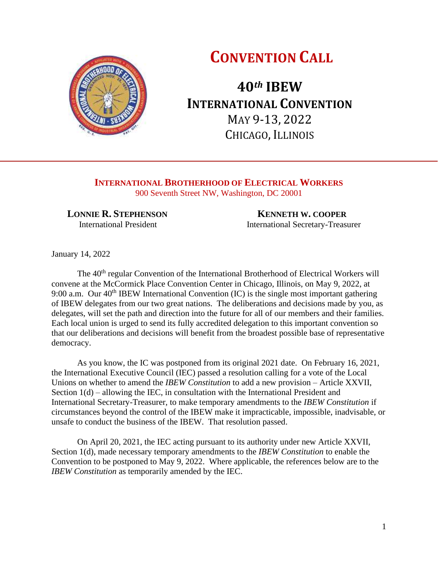# **CONVENTION CALL**



**40***th* **IBEW INTERNATIONAL CONVENTION** MAY 9-13, 2022 CHICAGO, ILLINOIS

**INTERNATIONAL BROTHERHOOD OF ELECTRICAL WORKERS** 900 Seventh Street NW, Washington, DC 20001

 **LONNIE R. STEPHENSON KENNETH W. COOPER**

**International President International Secretary-Treasurer** 

January 14, 2022

The 40<sup>th</sup> regular Convention of the International Brotherhood of Electrical Workers will convene at the McCormick Place Convention Center in Chicago, Illinois, on May 9, 2022, at 9:00 a.m. Our  $40<sup>th</sup>$  IBEW International Convention (IC) is the single most important gathering of IBEW delegates from our two great nations. The deliberations and decisions made by you, as delegates, will set the path and direction into the future for all of our members and their families. Each local union is urged to send its fully accredited delegation to this important convention so that our deliberations and decisions will benefit from the broadest possible base of representative democracy.

As you know, the IC was postponed from its original 2021 date. On February 16, 2021, the International Executive Council (IEC) passed a resolution calling for a vote of the Local Unions on whether to amend the *IBEW Constitution* to add a new provision – Article XXVII, Section  $1(d)$  – allowing the IEC, in consultation with the International President and International Secretary-Treasurer, to make temporary amendments to the *IBEW Constitution* if circumstances beyond the control of the IBEW make it impracticable, impossible, inadvisable, or unsafe to conduct the business of the IBEW. That resolution passed.

On April 20, 2021, the IEC acting pursuant to its authority under new Article XXVII, Section 1(d), made necessary temporary amendments to the *IBEW Constitution* to enable the Convention to be postponed to May 9, 2022. Where applicable, the references below are to the *IBEW Constitution* as temporarily amended by the IEC.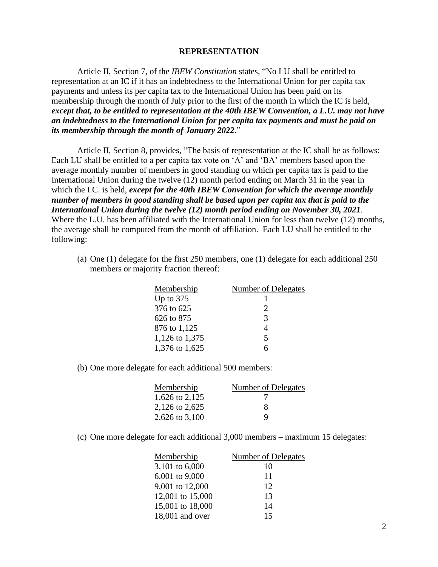## **REPRESENTATION**

Article II, Section 7, of the *IBEW Constitution* states, "No LU shall be entitled to representation at an IC if it has an indebtedness to the International Union for per capita tax payments and unless its per capita tax to the International Union has been paid on its membership through the month of July prior to the first of the month in which the IC is held, *except that, to be entitled to representation at the 40th IBEW Convention, a L.U. may not have an indebtedness to the International Union for per capita tax payments and must be paid on its membership through the month of January 2022*."

Article II, Section 8, provides, "The basis of representation at the IC shall be as follows: Each LU shall be entitled to a per capita tax vote on 'A' and 'BA' members based upon the average monthly number of members in good standing on which per capita tax is paid to the International Union during the twelve (12) month period ending on March 31 in the year in which the I.C. is held, *except for the 40th IBEW Convention for which the average monthly number of members in good standing shall be based upon per capita tax that is paid to the International Union during the twelve (12) month period ending on November 30, 2021*. Where the L.U. has been affiliated with the International Union for less than twelve (12) months, the average shall be computed from the month of affiliation. Each LU shall be entitled to the following:

(a) One (1) delegate for the first 250 members, one (1) delegate for each additional 250 members or majority fraction thereof:

| Membership     | Number of Delegates |
|----------------|---------------------|
| Up to $375$    |                     |
| 376 to 625     | 2                   |
| 626 to 875     | 3                   |
| 876 to 1,125   | 4                   |
| 1,126 to 1,375 | 5                   |
| 1,376 to 1,625 |                     |

(b) One more delegate for each additional 500 members:

| Membership     | Number of Delegates |
|----------------|---------------------|
| 1,626 to 2,125 |                     |
| 2,126 to 2,625 | x                   |
| 2,626 to 3,100 | Q                   |

(c) One more delegate for each additional 3,000 members – maximum 15 delegates:

| Membership       | <b>Number of Delegates</b> |
|------------------|----------------------------|
| 3,101 to 6,000   | 10                         |
| 6,001 to 9,000   | 11                         |
| 9,001 to 12,000  | 12                         |
| 12,001 to 15,000 | 13                         |
| 15,001 to 18,000 | 14                         |
| 18,001 and over  | 15                         |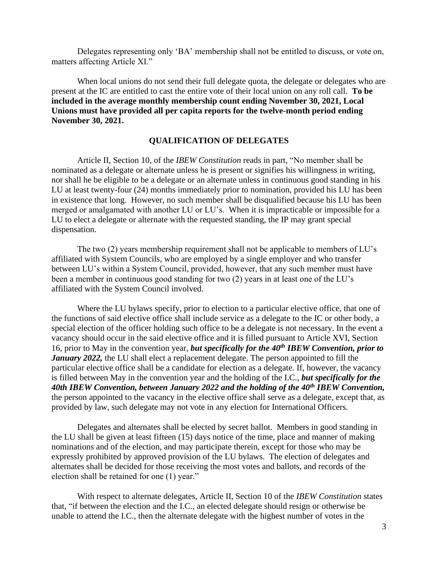Delegates representing only 'BA' membership shall not be entitled to discuss, or vote on, matters affecting Article XI."

When local unions do not send their full delegate quota, the delegate or delegates who are present at the IC are entitled to cast the entire vote of their local union on any roll call. **To be included in the average monthly membership count ending November 30, 2021, Local Unions must have provided all per capita reports for the twelve-month period ending November 30, 2021.**

## **QUALIFICATION OF DELEGATES**

Article II, Section 10, of the *IBEW Constitution* reads in part, "No member shall be nominated as a delegate or alternate unless he is present or signifies his willingness in writing, nor shall he be eligible to be a delegate or an alternate unless in continuous good standing in his LU at least twenty-four (24) months immediately prior to nomination, provided his LU has been in existence that long. However, no such member shall be disqualified because his LU has been merged or amalgamated with another LU or LU's. When it is impracticable or impossible for a LU to elect a delegate or alternate with the requested standing, the IP may grant special dispensation.

The two (2) years membership requirement shall not be applicable to members of LU's affiliated with System Councils, who are employed by a single employer and who transfer between LU's within a System Council, provided, however, that any such member must have been a member in continuous good standing for two (2) years in at least one of the LU's affiliated with the System Council involved.

Where the LU bylaws specify, prior to election to a particular elective office, that one of the functions of said elective office shall include service as a delegate to the IC or other body, a special election of the officer holding such office to be a delegate is not necessary. In the event a vacancy should occur in the said elective office and it is filled pursuant to Article XVI, Section 16, prior to May in the convention year, *but specifically for the 40th IBEW Convention, prior to January 2022*, the LU shall elect a replacement delegate. The person appointed to fill the particular elective office shall be a candidate for election as a delegate. If, however, the vacancy is filled between May in the convention year and the holding of the I.C., *but specifically for the 40th IBEW Convention, between January 2022 and the holding of the 40th IBEW Convention,* the person appointed to the vacancy in the elective office shall serve as a delegate, except that, as provided by law, such delegate may not vote in any election for International Officers.

Delegates and alternates shall be elected by secret ballot. Members in good standing in the LU shall be given at least fifteen (15) days notice of the time, place and manner of making nominations and of the election, and may participate therein, except for those who may be expressly prohibited by approved provision of the LU bylaws. The election of delegates and alternates shall be decided for those receiving the most votes and ballots, and records of the election shall be retained for one (1) year."

With respect to alternate delegates, Article II, Section 10 of the *IBEW Constitution* states that, "if between the election and the I.C., an elected delegate should resign or otherwise be unable to attend the I.C., then the alternate delegate with the highest number of votes in the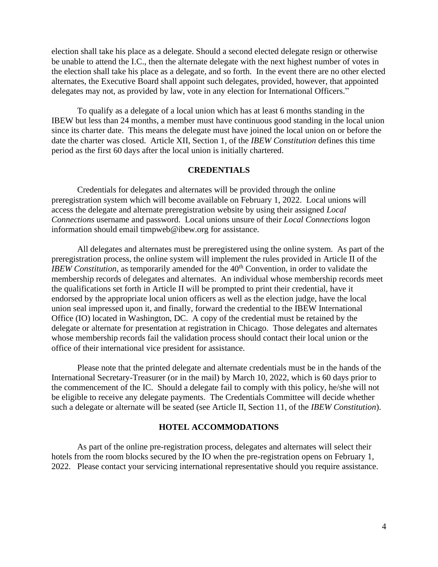election shall take his place as a delegate. Should a second elected delegate resign or otherwise be unable to attend the I.C., then the alternate delegate with the next highest number of votes in the election shall take his place as a delegate, and so forth. In the event there are no other elected alternates, the Executive Board shall appoint such delegates, provided, however, that appointed delegates may not, as provided by law, vote in any election for International Officers."

To qualify as a delegate of a local union which has at least 6 months standing in the IBEW but less than 24 months, a member must have continuous good standing in the local union since its charter date. This means the delegate must have joined the local union on or before the date the charter was closed. Article XII, Section 1, of the *IBEW Constitution* defines this time period as the first 60 days after the local union is initially chartered.

# **CREDENTIALS**

Credentials for delegates and alternates will be provided through the online preregistration system which will become available on February 1, 2022. Local unions will access the delegate and alternate preregistration website by using their assigned *Local Connections* username and password. Local unions unsure of their *Local Connections* logon information should email timpweb@ibew.org for assistance.

All delegates and alternates must be preregistered using the online system. As part of the preregistration process, the online system will implement the rules provided in Article II of the *IBEW Constitution*, as temporarily amended for the 40<sup>th</sup> Convention, in order to validate the membership records of delegates and alternates. An individual whose membership records meet the qualifications set forth in Article II will be prompted to print their credential, have it endorsed by the appropriate local union officers as well as the election judge, have the local union seal impressed upon it, and finally, forward the credential to the IBEW International Office (IO) located in Washington, DC. A copy of the credential must be retained by the delegate or alternate for presentation at registration in Chicago. Those delegates and alternates whose membership records fail the validation process should contact their local union or the office of their international vice president for assistance.

Please note that the printed delegate and alternate credentials must be in the hands of the International Secretary-Treasurer (or in the mail) by March 10, 2022, which is 60 days prior to the commencement of the IC. Should a delegate fail to comply with this policy, he/she will not be eligible to receive any delegate payments. The Credentials Committee will decide whether such a delegate or alternate will be seated (see Article II, Section 11, of the *IBEW Constitution*).

#### **HOTEL ACCOMMODATIONS**

As part of the online pre-registration process, delegates and alternates will select their hotels from the room blocks secured by the IO when the pre-registration opens on February 1, 2022. Please contact your servicing international representative should you require assistance.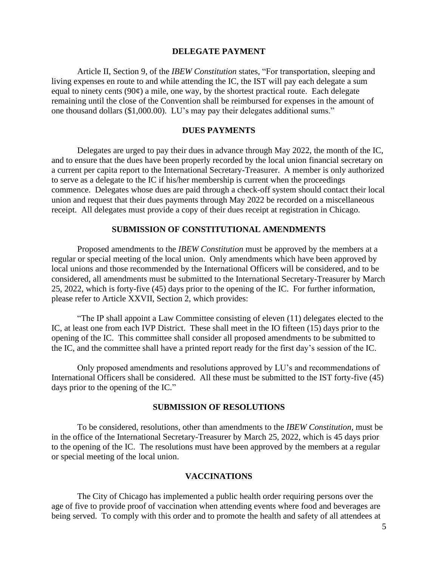## **DELEGATE PAYMENT**

Article II, Section 9, of the *IBEW Constitution* states, "For transportation, sleeping and living expenses en route to and while attending the IC, the IST will pay each delegate a sum equal to ninety cents (90¢) a mile, one way, by the shortest practical route.Each delegate remaining until the close of the Convention shall be reimbursed for expenses in the amount of one thousand dollars (\$1,000.00). LU's may pay their delegates additional sums."

#### **DUES PAYMENTS**

Delegates are urged to pay their dues in advance through May 2022, the month of the IC, and to ensure that the dues have been properly recorded by the local union financial secretary on a current per capita report to the International Secretary-Treasurer. A member is only authorized to serve as a delegate to the IC if his/her membership is current when the proceedings commence. Delegates whose dues are paid through a check-off system should contact their local union and request that their dues payments through May 2022 be recorded on a miscellaneous receipt. All delegates must provide a copy of their dues receipt at registration in Chicago.

# **SUBMISSION OF CONSTITUTIONAL AMENDMENTS**

Proposed amendments to the *IBEW Constitution* must be approved by the members at a regular or special meeting of the local union. Only amendments which have been approved by local unions and those recommended by the International Officers will be considered, and to be considered, all amendments must be submitted to the International Secretary-Treasurer by March 25, 2022, which is forty-five (45) days prior to the opening of the IC. For further information, please refer to Article XXVII, Section 2, which provides:

"The IP shall appoint a Law Committee consisting of eleven (11) delegates elected to the IC, at least one from each IVP District. These shall meet in the IO fifteen (15) days prior to the opening of the IC. This committee shall consider all proposed amendments to be submitted to the IC, and the committee shall have a printed report ready for the first day's session of the IC.

Only proposed amendments and resolutions approved by LU's and recommendations of International Officers shall be considered. All these must be submitted to the IST forty-five (45) days prior to the opening of the IC."

### **SUBMISSION OF RESOLUTIONS**

To be considered, resolutions, other than amendments to the *IBEW Constitution*, must be in the office of the International Secretary-Treasurer by March 25, 2022, which is 45 days prior to the opening of the IC. The resolutions must have been approved by the members at a regular or special meeting of the local union.

#### **VACCINATIONS**

The City of Chicago has implemented a public health order requiring persons over the age of five to provide proof of vaccination when attending events where food and beverages are being served. To comply with this order and to promote the health and safety of all attendees at